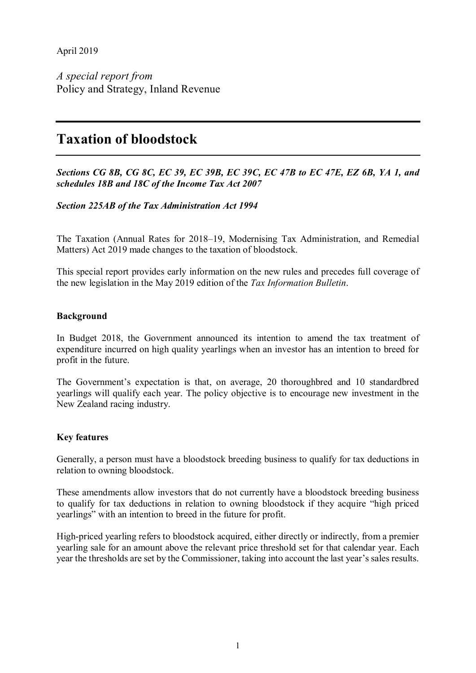April 2019

*A special report from* Policy and Strategy, Inland Revenue

# **Taxation of bloodstock**

*Sections CG 8B, CG 8C, EC 39, EC 39B, EC 39C, EC 47B to EC 47E, EZ 6B, YA 1, and schedules 18B and 18C of the Income Tax Act 2007*

## *Section 225AB of the Tax Administration Act 1994*

The Taxation (Annual Rates for 2018–19, Modernising Tax Administration, and Remedial Matters) Act 2019 made changes to the taxation of bloodstock.

This special report provides early information on the new rules and precedes full coverage of the new legislation in the May 2019 edition of the *Tax Information Bulletin*.

#### **Background**

In Budget 2018, the Government announced its intention to amend the tax treatment of expenditure incurred on high quality yearlings when an investor has an intention to breed for profit in the future.

The Government's expectation is that, on average, 20 thoroughbred and 10 standardbred yearlings will qualify each year. The policy objective is to encourage new investment in the New Zealand racing industry.

#### **Key features**

Generally, a person must have a bloodstock breeding business to qualify for tax deductions in relation to owning bloodstock.

These amendments allow investors that do not currently have a bloodstock breeding business to qualify for tax deductions in relation to owning bloodstock if they acquire "high priced yearlings" with an intention to breed in the future for profit.

High-priced yearling refers to bloodstock acquired, either directly or indirectly, from a premier yearling sale for an amount above the relevant price threshold set for that calendar year. Each year the thresholds are set by the Commissioner, taking into account the last year's sales results.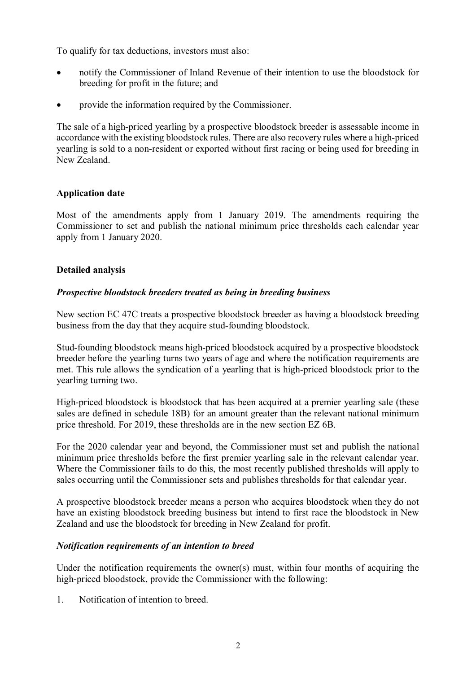To qualify for tax deductions, investors must also:

- notify the Commissioner of Inland Revenue of their intention to use the bloodstock for breeding for profit in the future; and
- provide the information required by the Commissioner.

The sale of a high-priced yearling by a prospective bloodstock breeder is assessable income in accordance with the existing bloodstock rules. There are also recovery rules where a high-priced yearling is sold to a non-resident or exported without first racing or being used for breeding in New Zealand.

# **Application date**

Most of the amendments apply from 1 January 2019. The amendments requiring the Commissioner to set and publish the national minimum price thresholds each calendar year apply from 1 January 2020.

# **Detailed analysis**

## *Prospective bloodstock breeders treated as being in breeding business*

New section EC 47C treats a prospective bloodstock breeder as having a bloodstock breeding business from the day that they acquire stud-founding bloodstock.

Stud-founding bloodstock means high-priced bloodstock acquired by a prospective bloodstock breeder before the yearling turns two years of age and where the notification requirements are met. This rule allows the syndication of a yearling that is high-priced bloodstock prior to the yearling turning two.

High-priced bloodstock is bloodstock that has been acquired at a premier yearling sale (these sales are defined in schedule 18B) for an amount greater than the relevant national minimum price threshold. For 2019, these thresholds are in the new section EZ 6B.

For the 2020 calendar year and beyond, the Commissioner must set and publish the national minimum price thresholds before the first premier yearling sale in the relevant calendar year. Where the Commissioner fails to do this, the most recently published thresholds will apply to sales occurring until the Commissioner sets and publishes thresholds for that calendar year.

A prospective bloodstock breeder means a person who acquires bloodstock when they do not have an existing bloodstock breeding business but intend to first race the bloodstock in New Zealand and use the bloodstock for breeding in New Zealand for profit.

## *Notification requirements of an intention to breed*

Under the notification requirements the owner(s) must, within four months of acquiring the high-priced bloodstock, provide the Commissioner with the following:

1. Notification of intention to breed.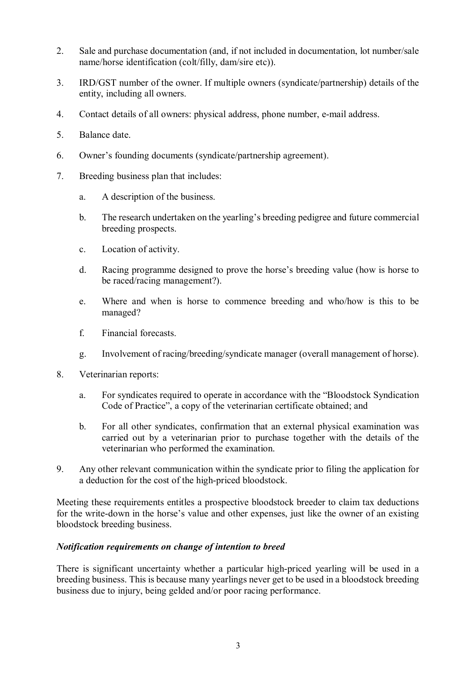- 2. Sale and purchase documentation (and, if not included in documentation, lot number/sale name/horse identification (colt/filly, dam/sire etc)).
- 3. IRD/GST number of the owner. If multiple owners (syndicate/partnership) details of the entity, including all owners.
- 4. Contact details of all owners: physical address, phone number, e-mail address.
- 5. Balance date.
- 6. Owner's founding documents (syndicate/partnership agreement).
- 7. Breeding business plan that includes:
	- a. A description of the business.
	- b. The research undertaken on the yearling's breeding pedigree and future commercial breeding prospects.
	- c. Location of activity.
	- d. Racing programme designed to prove the horse's breeding value (how is horse to be raced/racing management?).
	- e. Where and when is horse to commence breeding and who/how is this to be managed?
	- f. Financial forecasts.
	- g. Involvement of racing/breeding/syndicate manager (overall management of horse).
- 8. Veterinarian reports:
	- a. For syndicates required to operate in accordance with the "Bloodstock Syndication Code of Practice", a copy of the veterinarian certificate obtained; and
	- b. For all other syndicates, confirmation that an external physical examination was carried out by a veterinarian prior to purchase together with the details of the veterinarian who performed the examination.
- 9. Any other relevant communication within the syndicate prior to filing the application for a deduction for the cost of the high-priced bloodstock.

Meeting these requirements entitles a prospective bloodstock breeder to claim tax deductions for the write-down in the horse's value and other expenses, just like the owner of an existing bloodstock breeding business.

## *Notification requirements on change of intention to breed*

There is significant uncertainty whether a particular high-priced yearling will be used in a breeding business. This is because many yearlings never get to be used in a bloodstock breeding business due to injury, being gelded and/or poor racing performance.